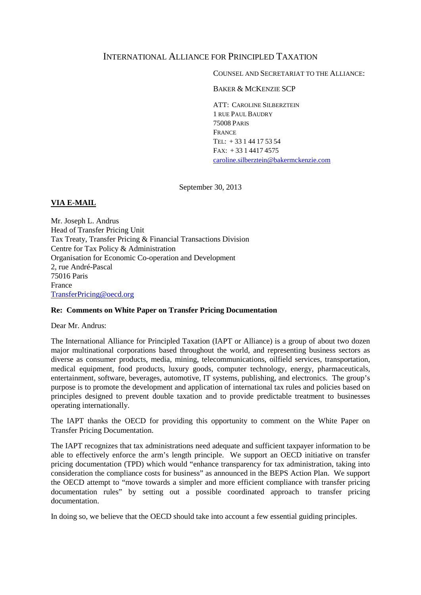# INTERNATIONAL ALLIANCE FOR PRINCIPLED TAXATION

COUNSEL AND SECRETARIAT TO THE ALLIANCE:

BAKER & MCKENZIE SCP

ATT: CAROLINE SILBERZTEIN 1 RUE PAUL BAUDRY 75008 PARIS FRANCE TEL: + 33 1 44 17 53 54 FAX: + 33 1 4417 4575 [caroline.silberztein@bakermckenzie.com](mailto:caroline.silberztein@bakermckenzie.com)

September 30, 2013

# **VIA E-MAIL**

Mr. Joseph L. Andrus Head of Transfer Pricing Unit Tax Treaty, Transfer Pricing & Financial Transactions Division Centre for Tax Policy & Administration Organisation for Economic Co-operation and Development 2, rue André-Pascal 75016 Paris France [TransferPricing@oecd.org](mailto:TransferPricing@oecd.org)

### **Re: Comments on White Paper on Transfer Pricing Documentation**

Dear Mr. Andrus:

The International Alliance for Principled Taxation (IAPT or Alliance) is a group of about two dozen major multinational corporations based throughout the world, and representing business sectors as diverse as consumer products, media, mining, telecommunications, oilfield services, transportation, medical equipment, food products, luxury goods, computer technology, energy, pharmaceuticals, entertainment, software, beverages, automotive, IT systems, publishing, and electronics. The group's purpose is to promote the development and application of international tax rules and policies based on principles designed to prevent double taxation and to provide predictable treatment to businesses operating internationally.

The IAPT thanks the OECD for providing this opportunity to comment on the White Paper on Transfer Pricing Documentation.

The IAPT recognizes that tax administrations need adequate and sufficient taxpayer information to be able to effectively enforce the arm's length principle. We support an OECD initiative on transfer pricing documentation (TPD) which would "enhance transparency for tax administration, taking into consideration the compliance costs for business" as announced in the BEPS Action Plan. We support the OECD attempt to "move towards a simpler and more efficient compliance with transfer pricing documentation rules" by setting out a possible coordinated approach to transfer pricing documentation.

In doing so, we believe that the OECD should take into account a few essential guiding principles.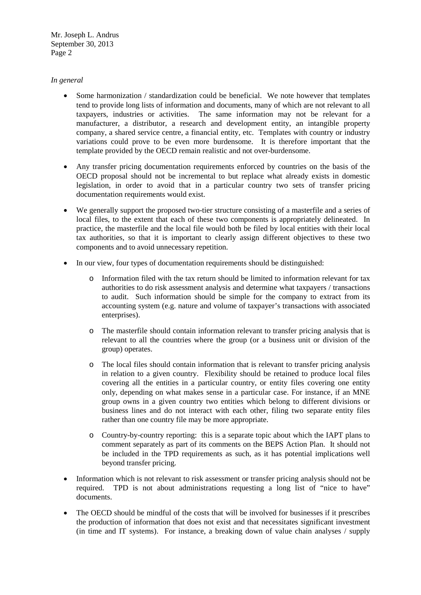# *In general*

- Some harmonization / standardization could be beneficial. We note however that templates tend to provide long lists of information and documents, many of which are not relevant to all taxpayers, industries or activities. The same information may not be relevant for a manufacturer, a distributor, a research and development entity, an intangible property company, a shared service centre, a financial entity, etc. Templates with country or industry variations could prove to be even more burdensome. It is therefore important that the template provided by the OECD remain realistic and not over-burdensome.
- Any transfer pricing documentation requirements enforced by countries on the basis of the OECD proposal should not be incremental to but replace what already exists in domestic legislation, in order to avoid that in a particular country two sets of transfer pricing documentation requirements would exist.
- We generally support the proposed two-tier structure consisting of a masterfile and a series of local files, to the extent that each of these two components is appropriately delineated. In practice, the masterfile and the local file would both be filed by local entities with their local tax authorities, so that it is important to clearly assign different objectives to these two components and to avoid unnecessary repetition.
- In our view, four types of documentation requirements should be distinguished:
	- o Information filed with the tax return should be limited to information relevant for tax authorities to do risk assessment analysis and determine what taxpayers / transactions to audit. Such information should be simple for the company to extract from its accounting system (e.g. nature and volume of taxpayer's transactions with associated enterprises).
	- o The masterfile should contain information relevant to transfer pricing analysis that is relevant to all the countries where the group (or a business unit or division of the group) operates.
	- o The local files should contain information that is relevant to transfer pricing analysis in relation to a given country. Flexibility should be retained to produce local files covering all the entities in a particular country, or entity files covering one entity only, depending on what makes sense in a particular case. For instance, if an MNE group owns in a given country two entities which belong to different divisions or business lines and do not interact with each other, filing two separate entity files rather than one country file may be more appropriate.
	- o Country-by-country reporting: this is a separate topic about which the IAPT plans to comment separately as part of its comments on the BEPS Action Plan. It should not be included in the TPD requirements as such, as it has potential implications well beyond transfer pricing.
- Information which is not relevant to risk assessment or transfer pricing analysis should not be required. TPD is not about administrations requesting a long list of "nice to have" documents.
- The OECD should be mindful of the costs that will be involved for businesses if it prescribes the production of information that does not exist and that necessitates significant investment (in time and IT systems). For instance, a breaking down of value chain analyses / supply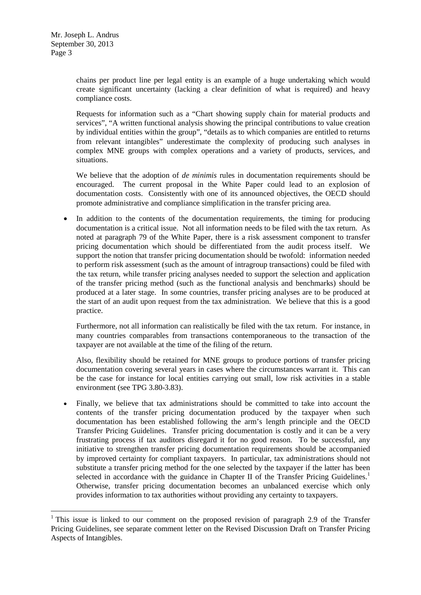chains per product line per legal entity is an example of a huge undertaking which would create significant uncertainty (lacking a clear definition of what is required) and heavy compliance costs.

Requests for information such as a "Chart showing supply chain for material products and services", "A written functional analysis showing the principal contributions to value creation by individual entities within the group", "details as to which companies are entitled to returns from relevant intangibles" underestimate the complexity of producing such analyses in complex MNE groups with complex operations and a variety of products, services, and situations.

We believe that the adoption of *de minimis* rules in documentation requirements should be encouraged. The current proposal in the White Paper could lead to an explosion of documentation costs. Consistently with one of its announced objectives, the OECD should promote administrative and compliance simplification in the transfer pricing area.

• In addition to the contents of the documentation requirements, the timing for producing documentation is a critical issue. Not all information needs to be filed with the tax return. As noted at paragraph 79 of the White Paper, there is a risk assessment component to transfer pricing documentation which should be differentiated from the audit process itself. We support the notion that transfer pricing documentation should be twofold: information needed to perform risk assessment (such as the amount of intragroup transactions) could be filed with the tax return, while transfer pricing analyses needed to support the selection and application of the transfer pricing method (such as the functional analysis and benchmarks) should be produced at a later stage. In some countries, transfer pricing analyses are to be produced at the start of an audit upon request from the tax administration. We believe that this is a good practice.

Furthermore, not all information can realistically be filed with the tax return. For instance, in many countries comparables from transactions contemporaneous to the transaction of the taxpayer are not available at the time of the filing of the return.

Also, flexibility should be retained for MNE groups to produce portions of transfer pricing documentation covering several years in cases where the circumstances warrant it. This can be the case for instance for local entities carrying out small, low risk activities in a stable environment (see TPG 3.80-3.83).

• Finally, we believe that tax administrations should be committed to take into account the contents of the transfer pricing documentation produced by the taxpayer when such documentation has been established following the arm's length principle and the OECD Transfer Pricing Guidelines. Transfer pricing documentation is costly and it can be a very frustrating process if tax auditors disregard it for no good reason. To be successful, any initiative to strengthen transfer pricing documentation requirements should be accompanied by improved certainty for compliant taxpayers. In particular, tax administrations should not substitute a transfer pricing method for the one selected by the taxpayer if the latter has been selected in accordance with the guidance in Chapter II of the Transfer Pricing Guidelines.<sup>[1](#page-2-0)</sup> Otherwise, transfer pricing documentation becomes an unbalanced exercise which only provides information to tax authorities without providing any certainty to taxpayers.

<span id="page-2-0"></span><sup>&</sup>lt;sup>1</sup> This issue is linked to our comment on the proposed revision of paragraph 2.9 of the Transfer Pricing Guidelines, see separate comment letter on the Revised Discussion Draft on Transfer Pricing Aspects of Intangibles.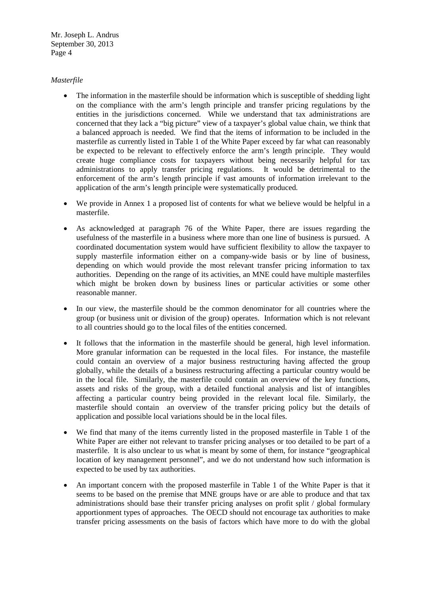# *Masterfile*

- The information in the masterfile should be information which is susceptible of shedding light on the compliance with the arm's length principle and transfer pricing regulations by the entities in the jurisdictions concerned. While we understand that tax administrations are concerned that they lack a "big picture" view of a taxpayer's global value chain, we think that a balanced approach is needed. We find that the items of information to be included in the masterfile as currently listed in Table 1 of the White Paper exceed by far what can reasonably be expected to be relevant to effectively enforce the arm's length principle. They would create huge compliance costs for taxpayers without being necessarily helpful for tax administrations to apply transfer pricing regulations. It would be detrimental to the enforcement of the arm's length principle if vast amounts of information irrelevant to the application of the arm's length principle were systematically produced.
- We provide in Annex 1 a proposed list of contents for what we believe would be helpful in a masterfile.
- As acknowledged at paragraph 76 of the White Paper, there are issues regarding the usefulness of the masterfile in a business where more than one line of business is pursued. A coordinated documentation system would have sufficient flexibility to allow the taxpayer to supply masterfile information either on a company-wide basis or by line of business, depending on which would provide the most relevant transfer pricing information to tax authorities. Depending on the range of its activities, an MNE could have multiple masterfiles which might be broken down by business lines or particular activities or some other reasonable manner.
- In our view, the masterfile should be the common denominator for all countries where the group (or business unit or division of the group) operates. Information which is not relevant to all countries should go to the local files of the entities concerned.
- It follows that the information in the masterfile should be general, high level information. More granular information can be requested in the local files. For instance, the mastefile could contain an overview of a major business restructuring having affected the group globally, while the details of a business restructuring affecting a particular country would be in the local file. Similarly, the masterfile could contain an overview of the key functions, assets and risks of the group, with a detailed functional analysis and list of intangibles affecting a particular country being provided in the relevant local file. Similarly, the masterfile should contain an overview of the transfer pricing policy but the details of application and possible local variations should be in the local files.
- We find that many of the items currently listed in the proposed masterfile in Table 1 of the White Paper are either not relevant to transfer pricing analyses or too detailed to be part of a masterfile. It is also unclear to us what is meant by some of them, for instance "geographical location of key management personnel", and we do not understand how such information is expected to be used by tax authorities.
- An important concern with the proposed masterfile in Table 1 of the White Paper is that it seems to be based on the premise that MNE groups have or are able to produce and that tax administrations should base their transfer pricing analyses on profit split / global formulary apportionment types of approaches. The OECD should not encourage tax authorities to make transfer pricing assessments on the basis of factors which have more to do with the global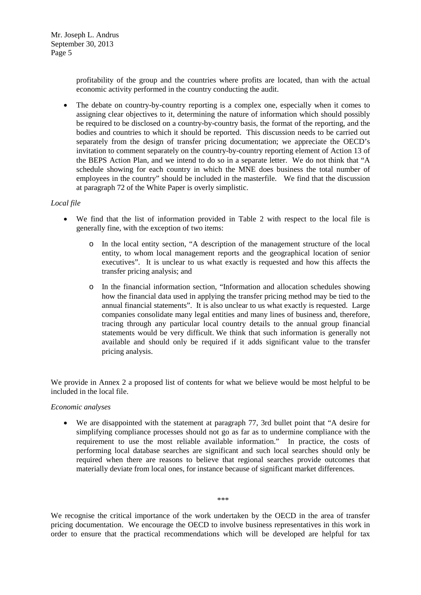profitability of the group and the countries where profits are located, than with the actual economic activity performed in the country conducting the audit.

• The debate on country-by-country reporting is a complex one, especially when it comes to assigning clear objectives to it, determining the nature of information which should possibly be required to be disclosed on a country-by-country basis, the format of the reporting, and the bodies and countries to which it should be reported. This discussion needs to be carried out separately from the design of transfer pricing documentation; we appreciate the OECD's invitation to comment separately on the country-by-country reporting element of Action 13 of the BEPS Action Plan, and we intend to do so in a separate letter. We do not think that "A schedule showing for each country in which the MNE does business the total number of employees in the country" should be included in the masterfile. We find that the discussion at paragraph 72 of the White Paper is overly simplistic.

# *Local file*

- We find that the list of information provided in Table 2 with respect to the local file is generally fine, with the exception of two items:
	- In the local entity section, "A description of the management structure of the local entity, to whom local management reports and the geographical location of senior executives". It is unclear to us what exactly is requested and how this affects the transfer pricing analysis; and
	- o In the financial information section, "Information and allocation schedules showing how the financial data used in applying the transfer pricing method may be tied to the annual financial statements". It is also unclear to us what exactly is requested. Large companies consolidate many legal entities and many lines of business and, therefore, tracing through any particular local country details to the annual group financial statements would be very difficult. We think that such information is generally not available and should only be required if it adds significant value to the transfer pricing analysis.

We provide in Annex 2 a proposed list of contents for what we believe would be most helpful to be included in the local file.

### *Economic analyses*

• We are disappointed with the statement at paragraph 77, 3rd bullet point that "A desire for simplifying compliance processes should not go as far as to undermine compliance with the requirement to use the most reliable available information." In practice, the costs of performing local database searches are significant and such local searches should only be required when there are reasons to believe that regional searches provide outcomes that materially deviate from local ones, for instance because of significant market differences.

We recognise the critical importance of the work undertaken by the OECD in the area of transfer pricing documentation. We encourage the OECD to involve business representatives in this work in order to ensure that the practical recommendations which will be developed are helpful for tax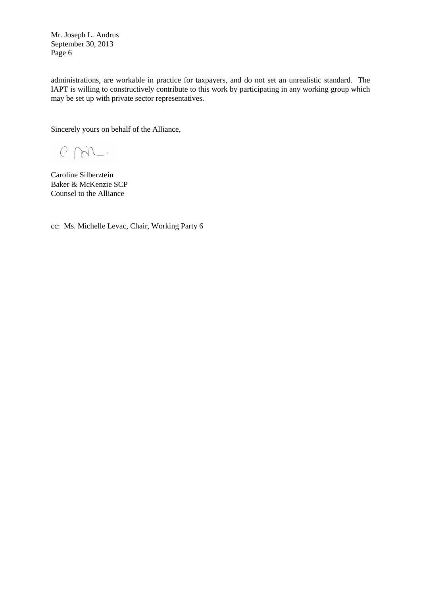administrations, are workable in practice for taxpayers, and do not set an unrealistic standard. The IAPT is willing to constructively contribute to this work by participating in any working group which may be set up with private sector representatives.

Sincerely yours on behalf of the Alliance,

 $P.M.$ 

Caroline Silberztein Baker & McKenzie SCP Counsel to the Alliance

cc: Ms. Michelle Levac, Chair, Working Party 6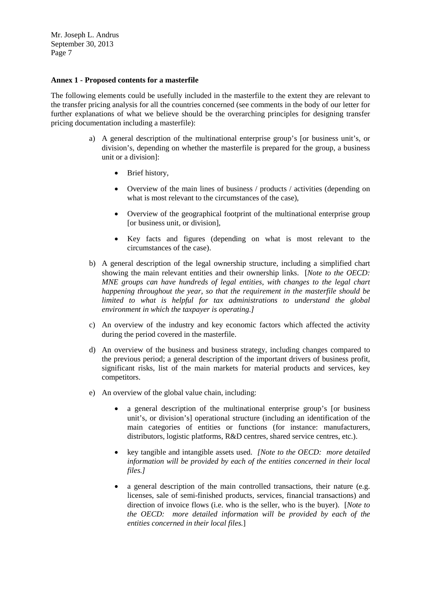### **Annex 1 - Proposed contents for a masterfile**

The following elements could be usefully included in the masterfile to the extent they are relevant to the transfer pricing analysis for all the countries concerned (see comments in the body of our letter for further explanations of what we believe should be the overarching principles for designing transfer pricing documentation including a masterfile):

- a) A general description of the multinational enterprise group's [or business unit's, or division's, depending on whether the masterfile is prepared for the group, a business unit or a division]:
	- Brief history,
	- Overview of the main lines of business / products / activities (depending on what is most relevant to the circumstances of the case).
	- Overview of the geographical footprint of the multinational enterprise group [or business unit, or division],
	- Key facts and figures (depending on what is most relevant to the circumstances of the case).
- b) A general description of the legal ownership structure, including a simplified chart showing the main relevant entities and their ownership links. [*Note to the OECD: MNE groups can have hundreds of legal entities, with changes to the legal chart happening throughout the year, so that the requirement in the masterfile should be limited to what is helpful for tax administrations to understand the global environment in which the taxpayer is operating.]*
- c) An overview of the industry and key economic factors which affected the activity during the period covered in the masterfile.
- d) An overview of the business and business strategy, including changes compared to the previous period; a general description of the important drivers of business profit, significant risks, list of the main markets for material products and services, key competitors.
- e) An overview of the global value chain, including:
	- a general description of the multinational enterprise group's [or business unit's, or division's] operational structure (including an identification of the main categories of entities or functions (for instance: manufacturers, distributors, logistic platforms, R&D centres, shared service centres, etc.).
	- key tangible and intangible assets used. *[Note to the OECD: more detailed information will be provided by each of the entities concerned in their local files.]*
	- a general description of the main controlled transactions, their nature (e.g. licenses, sale of semi-finished products, services, financial transactions) and direction of invoice flows (i.e. who is the seller, who is the buyer). [*Note to the OECD: more detailed information will be provided by each of the entities concerned in their local files.*]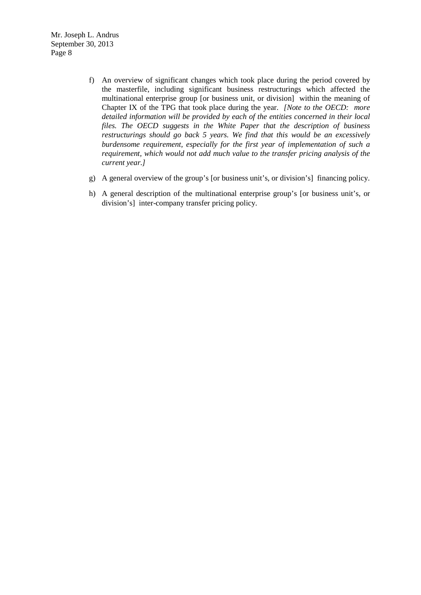- f) An overview of significant changes which took place during the period covered by the masterfile, including significant business restructurings which affected the multinational enterprise group [or business unit, or division] within the meaning of Chapter IX of the TPG that took place during the year. *[Note to the OECD: more detailed information will be provided by each of the entities concerned in their local files. The OECD suggests in the White Paper that the description of business restructurings should go back 5 years. We find that this would be an excessively burdensome requirement, especially for the first year of implementation of such a requirement, which would not add much value to the transfer pricing analysis of the current year.]*
- g) A general overview of the group's [or business unit's, or division's] financing policy.
- h) A general description of the multinational enterprise group's [or business unit's, or division's] inter-company transfer pricing policy.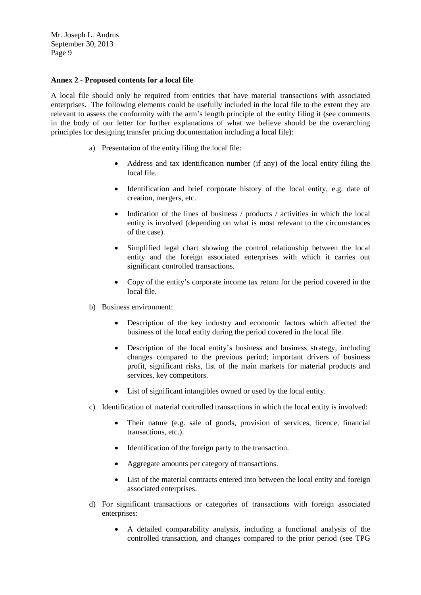### **Annex 2 - Proposed contents for a local file**

A local file should only be required from entities that have material transactions with associated enterprises. The following elements could be usefully included in the local file to the extent they are relevant to assess the conformity with the arm's length principle of the entity filing it (see comments in the body of our letter for further explanations of what we believe should be the overarching principles for designing transfer pricing documentation including a local file):

- a) Presentation of the entity filing the local file:
	- Address and tax identification number (if any) of the local entity filing the local file.
	- Identification and brief corporate history of the local entity, e.g. date of creation, mergers, etc.
	- Indication of the lines of business / products / activities in which the local entity is involved (depending on what is most relevant to the circumstances of the case).
	- Simplified legal chart showing the control relationship between the local entity and the foreign associated enterprises with which it carries out significant controlled transactions.
	- Copy of the entity's corporate income tax return for the period covered in the local file.
- b) Business environment:
	- Description of the key industry and economic factors which affected the business of the local entity during the period covered in the local file.
	- Description of the local entity's business and business strategy, including changes compared to the previous period; important drivers of business profit, significant risks, list of the main markets for material products and services, key competitors.
	- List of significant intangibles owned or used by the local entity.
- c) Identification of material controlled transactions in which the local entity is involved:
	- Their nature (e.g. sale of goods, provision of services, licence, financial transactions, etc.).
	- Identification of the foreign party to the transaction.
	- Aggregate amounts per category of transactions.
	- List of the material contracts entered into between the local entity and foreign associated enterprises.
- d) For significant transactions or categories of transactions with foreign associated enterprises:
	- A detailed comparability analysis, including a functional analysis of the controlled transaction, and changes compared to the prior period (see TPG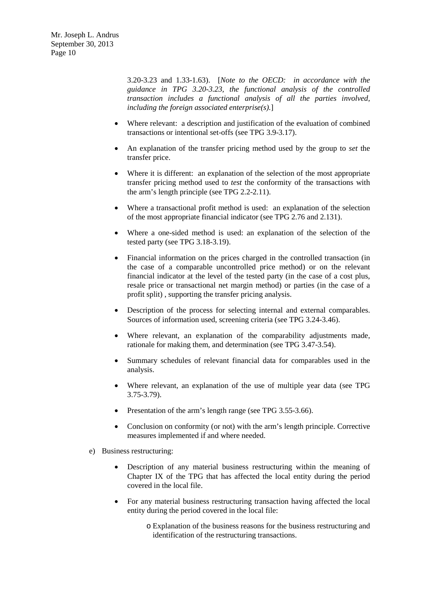3.20-3.23 and 1.33-1.63). [*Note to the OECD: in accordance with the guidance in TPG 3.20-3.23, the functional analysis of the controlled transaction includes a functional analysis of all the parties involved, including the foreign associated enterprise(s).*]

- Where relevant: a description and justification of the evaluation of combined transactions or intentional set-offs (see TPG 3.9-3.17).
- An explanation of the transfer pricing method used by the group to *set* the transfer price.
- Where it is different: an explanation of the selection of the most appropriate transfer pricing method used to *test* the conformity of the transactions with the arm's length principle (see TPG 2.2-2.11).
- Where a transactional profit method is used: an explanation of the selection of the most appropriate financial indicator (see TPG 2.76 and 2.131).
- Where a one-sided method is used: an explanation of the selection of the tested party (see TPG 3.18-3.19).
- Financial information on the prices charged in the controlled transaction (in the case of a comparable uncontrolled price method) or on the relevant financial indicator at the level of the tested party (in the case of a cost plus, resale price or transactional net margin method) or parties (in the case of a profit split) , supporting the transfer pricing analysis.
- Description of the process for selecting internal and external comparables. Sources of information used, screening criteria (see TPG 3.24-3.46).
- Where relevant, an explanation of the comparability adjustments made, rationale for making them, and determination (see TPG 3.47-3.54).
- Summary schedules of relevant financial data for comparables used in the analysis.
- Where relevant, an explanation of the use of multiple year data (see TPG 3.75-3.79).
- Presentation of the arm's length range (see TPG 3.55-3.66).
- Conclusion on conformity (or not) with the arm's length principle. Corrective measures implemented if and where needed.
- e) Business restructuring:
	- Description of any material business restructuring within the meaning of Chapter IX of the TPG that has affected the local entity during the period covered in the local file.
	- For any material business restructuring transaction having affected the local entity during the period covered in the local file:
		- o Explanation of the business reasons for the business restructuring and identification of the restructuring transactions.